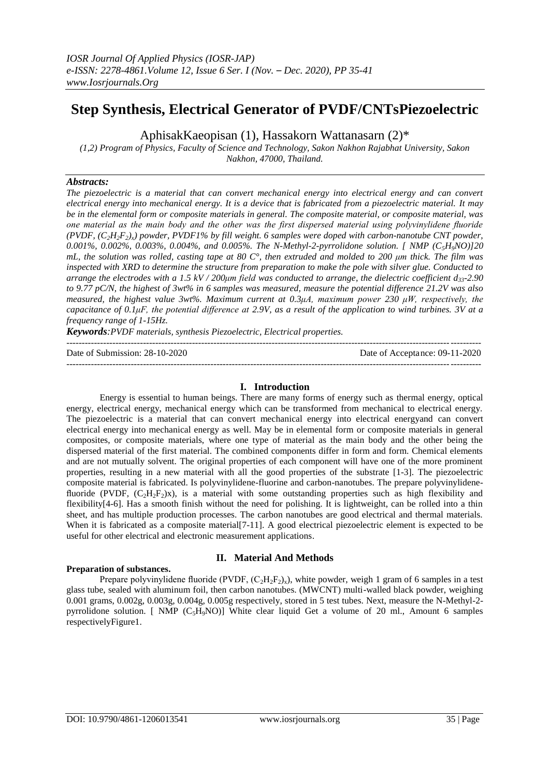# **Step Synthesis, Electrical Generator of PVDF/CNTsPiezoelectric**

AphisakKaeopisan (1), Hassakorn Wattanasarn (2)\*

*(1,2) Program of Physics, Faculty of Science and Technology, Sakon Nakhon Rajabhat University, Sakon Nakhon, 47000, Thailand.* 

# *Abstracts:*

*The piezoelectric is a material that can convert mechanical energy into electrical energy and can convert electrical energy into mechanical energy. It is a device that is fabricated from a piezoelectric material. It may be in the elemental form or composite materials in general. The composite material, or composite material, was one material as the main body and the other was the first dispersed material using polyvinylidene fluoride (PVDF, (C2H2F2)x) powder, PVDF1% by fill weight. 6 samples were doped with carbon-nanotube CNT powder, 0.001%, 0.002%, 0.003%, 0.004%, and 0.005%. The N-Methyl-2-pyrrolidone solution. [ NMP (C5H9NO)]20 mL, the solution was rolled, casting tape at 80 C°, then extruded and molded to 200 μm thick. The film was inspected with XRD to determine the structure from preparation to make the pole with silver glue. Conducted to arrange the electrodes with a 1.5 kV / 200μm field was conducted to arrange, the dielectric coefficient d33-2.90 to 9.77 pC/N, the highest of 3wt% in 6 samples was measured, measure the potential difference 21.2V was also measured, the highest value 3wt%. Maximum current at 0.3μA, maximum power 230 μW, respectively, the capacitance of 0.1μF, the potential difference at 2.9V, as a result of the application to wind turbines. 3V at a frequency range of 1-15Hz.*

*Keywords:PVDF materials, synthesis Piezoelectric, Electrical properties.*

| Date of Submission: 28-10-2020 | Date of Acceptance: 09-11-2020 |
|--------------------------------|--------------------------------|
|                                |                                |

# **I. Introduction**

Energy is essential to human beings. There are many forms of energy such as thermal energy, optical energy, electrical energy, mechanical energy which can be transformed from mechanical to electrical energy. The piezoelectric is a material that can convert mechanical energy into electrical energyand can convert electrical energy into mechanical energy as well. May be in elemental form or composite materials in general composites, or composite materials, where one type of material as the main body and the other being the dispersed material of the first material. The combined components differ in form and form. Chemical elements and are not mutually solvent. The original properties of each component will have one of the more prominent properties, resulting in a new material with all the good properties of the substrate [1-3]. The piezoelectric composite material is fabricated. Is polyvinylidene-fluorine and carbon-nanotubes. The prepare polyvinylidenefluoride (PVDF,  $(C_2H_2F_2)x$ ), is a material with some outstanding properties such as high flexibility and flexibility[4-6]. Has a smooth finish without the need for polishing. It is lightweight, can be rolled into a thin sheet, and has multiple production processes. The carbon nanotubes are good electrical and thermal materials. When it is fabricated as a composite material<sup>[7-11]</sup>. A good electrical piezoelectric element is expected to be useful for other electrical and electronic measurement applications.

# **Preparation of substances.**

# **II. Material And Methods**

Prepare polyvinylidene fluoride (PVDF,  $(C_2H_2F_2)_x$ ), white powder, weigh 1 gram of 6 samples in a test glass tube, sealed with aluminum foil, then carbon nanotubes. (MWCNT) multi-walled black powder, weighing 0.001 grams, 0.002g, 0.003g, 0.004g, 0.005g respectively, stored in 5 test tubes. Next, measure the N-Methyl-2 pyrrolidone solution. [ NMP  $(C_5H_9NO)$ ] White clear liquid Get a volume of 20 ml., Amount 6 samples respectivelyFigure1.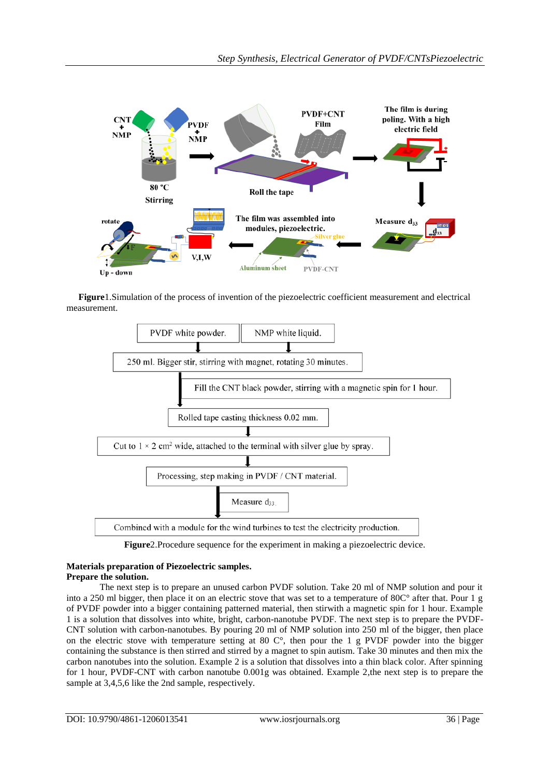

**Figure**1.Simulation of the process of invention of the piezoelectric coefficient measurement and electrical measurement.



**Figure**2.Procedure sequence for the experiment in making a piezoelectric device.

#### **Materials preparation of Piezoelectric samples. Prepare the solution.**

The next step is to prepare an unused carbon PVDF solution. Take 20 ml of NMP solution and pour it into a 250 ml bigger, then place it on an electric stove that was set to a temperature of 80C° after that. Pour 1 g of PVDF powder into a bigger containing patterned material, then stirwith a magnetic spin for 1 hour. Example 1 is a solution that dissolves into white, bright, carbon-nanotube PVDF. The next step is to prepare the PVDF-CNT solution with carbon-nanotubes. By pouring 20 ml of NMP solution into 250 ml of the bigger, then place on the electric stove with temperature setting at 80 C°, then pour the 1 g PVDF powder into the bigger containing the substance is then stirred and stirred by a magnet to spin autism. Take 30 minutes and then mix the carbon nanotubes into the solution. Example 2 is a solution that dissolves into a thin black color. After spinning for 1 hour, PVDF-CNT with carbon nanotube 0.001g was obtained. Example 2,the next step is to prepare the sample at 3,4,5,6 like the 2nd sample, respectively.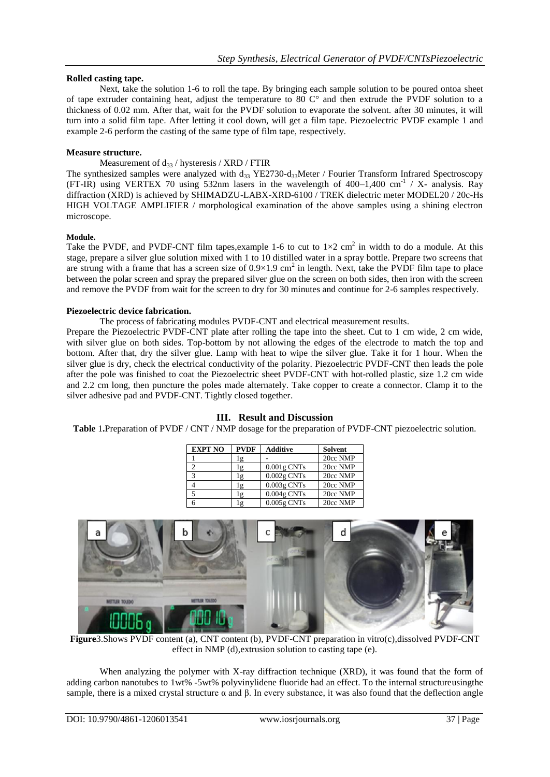# **Rolled casting tape.**

Next, take the solution 1-6 to roll the tape. By bringing each sample solution to be poured ontoa sheet of tape extruder containing heat, adjust the temperature to 80 C° and then extrude the PVDF solution to a thickness of 0.02 mm. After that, wait for the PVDF solution to evaporate the solvent. after 30 minutes, it will turn into a solid film tape. After letting it cool down, will get a film tape. Piezoelectric PVDF example 1 and example 2-6 perform the casting of the same type of film tape, respectively.

## **Measure structure.**

Measurement of  $d_{33}$  / hysteresis / XRD / FTIR

The synthesized samples were analyzed with  $d_{33}$  YE2730-d<sub>33</sub>Meter / Fourier Transform Infrared Spectroscopy (FT-IR) using VERTEX 70 using 532nm lasers in the wavelength of  $400-1,400$  cm<sup>-1</sup> / X- analysis. Ray diffraction (XRD) is achieved by SHIMADZU-LABX-XRD-6100 / TREK dielectric meter MODEL20 / 20c-Hs HIGH VOLTAGE AMPLIFIER / morphological examination of the above samples using a shining electron microscope.

#### **Module.**

Take the PVDF, and PVDF-CNT film tapes, example 1-6 to cut to  $1\times2$  cm<sup>2</sup> in width to do a module. At this stage, prepare a silver glue solution mixed with 1 to 10 distilled water in a spray bottle. Prepare two screens that are strung with a frame that has a screen size of  $0.9 \times 1.9$  cm<sup>2</sup> in length. Next, take the PVDF film tape to place between the polar screen and spray the prepared silver glue on the screen on both sides, then iron with the screen and remove the PVDF from wait for the screen to dry for 30 minutes and continue for 2-6 samples respectively.

#### **Piezoelectric device fabrication.**

The process of fabricating modules PVDF-CNT and electrical measurement results.

Prepare the Piezoelectric PVDF-CNT plate after rolling the tape into the sheet. Cut to 1 cm wide, 2 cm wide, with silver glue on both sides. Top-bottom by not allowing the edges of the electrode to match the top and bottom. After that, dry the silver glue. Lamp with heat to wipe the silver glue. Take it for 1 hour. When the silver glue is dry, check the electrical conductivity of the polarity. Piezoelectric PVDF-CNT then leads the pole after the pole was finished to coat the Piezoelectric sheet PVDF-CNT with hot-rolled plastic, size 1.2 cm wide and 2.2 cm long, then puncture the poles made alternately. Take copper to create a connector. Clamp it to the silver adhesive pad and PVDF-CNT. Tightly closed together.

| <b>EXPT NO</b> | <b>PVDF</b> | <b>Additive</b> | <b>Solvent</b> |
|----------------|-------------|-----------------|----------------|
|                | lg          |                 | 20cc NMP       |
|                | lg          | $0.001$ g CNTs  | 20cc NMP       |
| 3              | lg          | $0.002$ g CNTs  | 20cc NMP       |
|                | Ιg          | $0.003$ g CNTs  | 20cc NMP       |
| 5              | lg          | $0.004$ g CNTs  | 20cc NMP       |
|                | ıg          | $0.005g$ CNTs   | 20cc NMP       |

#### **III. Result and Discussion Table** 1**.**Preparation of PVDF / CNT / NMP dosage for the preparation of PVDF-CNT piezoelectric solution.



**Figure**3.Shows PVDF content (a), CNT content (b), PVDF-CNT preparation in vitro(c),dissolved PVDF-CNT effect in NMP (d),extrusion solution to casting tape (e).

When analyzing the polymer with X-ray diffraction technique (XRD), it was found that the form of adding carbon nanotubes to 1wt% -5wt% polyvinylidene fluoride had an effect. To the internal structureusingthe sample, there is a mixed crystal structure  $\alpha$  and  $\beta$ . In every substance, it was also found that the deflection angle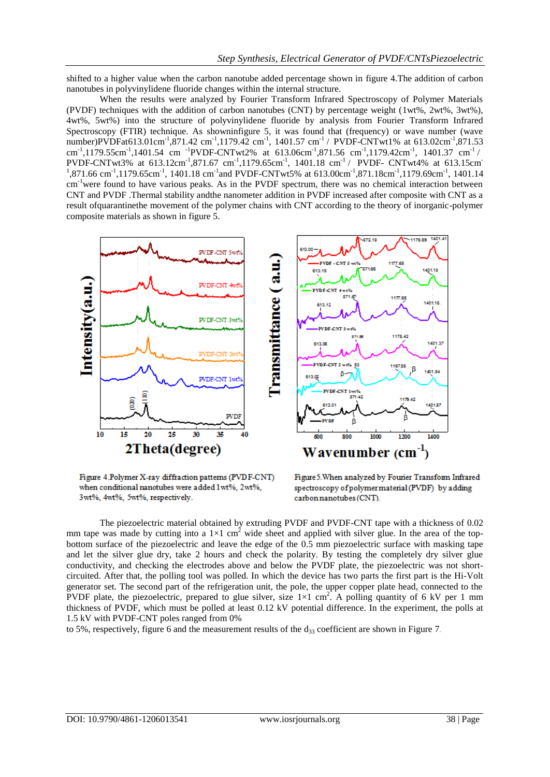shifted to a higher value when the carbon nanotube added percentage shown in figure 4.The addition of carbon nanotubes in polyvinylidene fluoride changes within the internal structure.

When the results were analyzed by Fourier Transform Infrared Spectroscopy of Polymer Materials (PVDF) techniques with the addition of carbon nanotubes (CNT) by percentage weight (1wt%, 2wt%, 3wt%), 4wt%, 5wt%) into the structure of polyvinylidene fluoride by analysis from Fourier Transform Infrared Spectroscopy (FTIR) technique. As showninfigure 5, it was found that (frequency) or wave number (wave number)PVDFat613.01cm<sup>-1</sup>,871.42 cm<sup>-1</sup>,1179.42 cm<sup>-1</sup>, 1401.57 cm<sup>-1</sup> / PVDF-CNTwt1% at 613.02cm<sup>-1</sup>,871.53 cm<sup>-1</sup>,1179.55cm<sup>-1</sup>,1401.54 cm <sup>-1</sup>PVDF-CNTwt2% at 613.06cm<sup>-1</sup>,871.56 cm<sup>-1</sup>,1179.42cm<sup>-1</sup>, 1401.37 cm<sup>-1</sup>/ PVDF-CNTwt3% at 613.12cm<sup>-1</sup>,871.67 cm<sup>-1</sup>,1179.65cm<sup>-1</sup>, 1401.18 cm<sup>-1</sup>/ PVDF- CNTwt4% at 613.15cm  $1,871.66$  cm<sup>-1</sup>,1179.65cm<sup>-1</sup>, 1401.18 cm<sup>-1</sup> and PVDF-CNTwt5% at 613.00cm<sup>-1</sup>,871.18cm<sup>-1</sup>,1179.69cm<sup>-1</sup>, 1401.14 cm-1were found to have various peaks. As in the PVDF spectrum, there was no chemical interaction between CNT and PVDF .Thermal stability andthe nanometer addition in PVDF increased after composite with CNT as a result ofquarantinethe movement of the polymer chains with CNT according to the theory of inorganic-polymer composite materials as shown in figure 5.



Figure 4.Polymer X-ray diffraction patterns (PVDF-CNT) when conditional nanotubes were added 1wt%, 2wt%, 3wt%, 4wt%, 5wt%, respectively.

Figure 5. When analyzed by Fourier Transform Infrared spectroscopy of polymer material (PVDF) by adding carbon nanotubes (CNT).

The piezoelectric material obtained by extruding PVDF and PVDF-CNT tape with a thickness of 0.02 mm tape was made by cutting into a  $1\times1$  cm<sup>2</sup> wide sheet and applied with silver glue. In the area of the topbottom surface of the piezoelectric and leave the edge of the 0.5 mm piezoelectric surface with masking tape and let the silver glue dry, take 2 hours and check the polarity. By testing the completely dry silver glue conductivity, and checking the electrodes above and below the PVDF plate, the piezoelectric was not shortcircuited. After that, the polling tool was polled. In which the device has two parts the first part is the Hi-Volt generator set. The second part of the refrigeration unit, the pole, the upper copper plate head, connected to the PVDF plate, the piezoelectric, prepared to glue silver, size  $1\times1$  cm<sup>2</sup>. A polling quantity of 6 kV per 1 mm thickness of PVDF, which must be polled at least 0.12 kV potential difference. In the experiment, the polls at 1.5 kV with PVDF-CNT poles ranged from 0%

to 5%, respectively, figure 6 and the measurement results of the  $d_{33}$  coefficient are shown in Figure 7.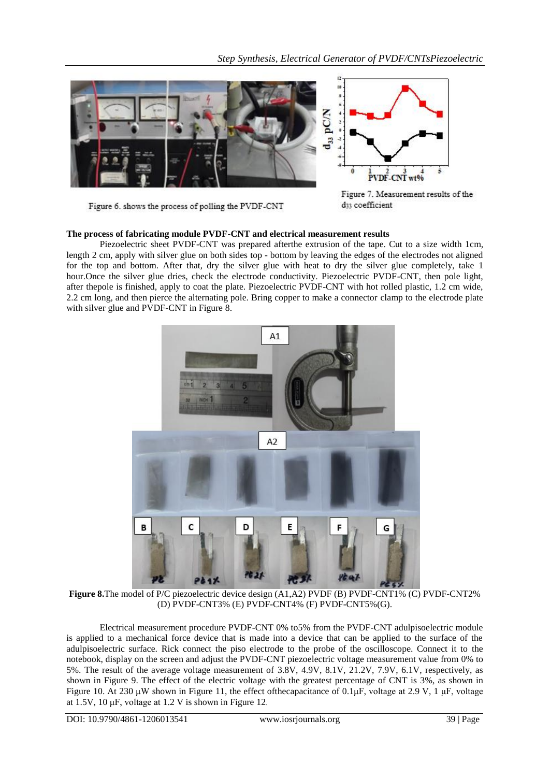![](_page_4_Picture_1.jpeg)

Figure 6. shows the process of polling the PVDF-CNT

Figure 7. Measurement results of the d33 coefficient

# **The process of fabricating module PVDF-CNT and electrical measurement results**

Piezoelectric sheet PVDF-CNT was prepared afterthe extrusion of the tape. Cut to a size width 1cm, length 2 cm, apply with silver glue on both sides top - bottom by leaving the edges of the electrodes not aligned for the top and bottom. After that, dry the silver glue with heat to dry the silver glue completely, take 1 hour.Once the silver glue dries, check the electrode conductivity. Piezoelectric PVDF-CNT, then pole light, after thepole is finished, apply to coat the plate. Piezoelectric PVDF-CNT with hot rolled plastic, 1.2 cm wide, 2.2 cm long, and then pierce the alternating pole. Bring copper to make a connector clamp to the electrode plate with silver glue and PVDF-CNT in Figure 8.

![](_page_4_Picture_6.jpeg)

**Figure 8.**The model of P/C piezoelectric device design (A1,A2) PVDF (B) PVDF-CNT1% (C) PVDF-CNT2% (D) PVDF-CNT3% (E) PVDF-CNT4% (F) PVDF-CNT5%(G).

Electrical measurement procedure PVDF-CNT 0% to5% from the PVDF-CNT adulpisoelectric module is applied to a mechanical force device that is made into a device that can be applied to the surface of the adulpisoelectric surface. Rick connect the piso electrode to the probe of the oscilloscope. Connect it to the notebook, display on the screen and adjust the PVDF-CNT piezoelectric voltage measurement value from 0% to 5%. The result of the average voltage measurement of 3.8V, 4.9V, 8.1V, 21.2V, 7.9V, 6.1V, respectively, as shown in Figure 9. The effect of the electric voltage with the greatest percentage of CNT is 3%, as shown in Figure 10. At 230 μW shown in Figure 11, the effect of the capacitance of 0.1μF, voltage at 2.9 V, 1 μF, voltage at 1.5V, 10 μF, voltage at 1.2 V is shown in Figure 12.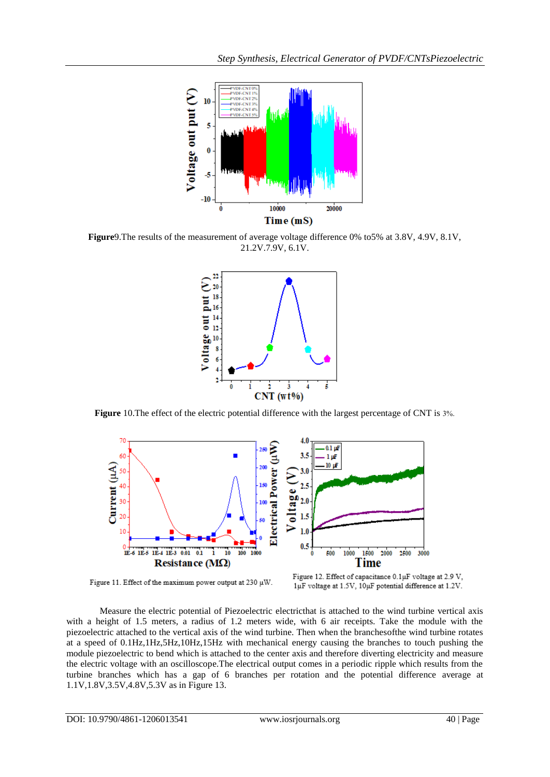![](_page_5_Figure_1.jpeg)

**Figure**9.The results of the measurement of average voltage difference 0% to5% at 3.8V, 4.9V, 8.1V, 21.2V.7.9V, 6.1V.

![](_page_5_Figure_3.jpeg)

**Figure** 10.The effect of the electric potential difference with the largest percentage of CNT is 3%.

![](_page_5_Figure_5.jpeg)

Figure 11. Effect of the maximum power output at 230 µW.

Figure 12. Effect of capacitance 0.1µF voltage at 2.9 V,  $1 \upmu F$  voltage at 1.5V, 10 $\upmu F$  potential difference at 1.2V.

Measure the electric potential of Piezoelectric electricthat is attached to the wind turbine vertical axis with a height of 1.5 meters, a radius of 1.2 meters wide, with 6 air receipts. Take the module with the piezoelectric attached to the vertical axis of the wind turbine. Then when the branchesofthe wind turbine rotates at a speed of 0.1Hz,1Hz,5Hz,10Hz,15Hz with mechanical energy causing the branches to touch pushing the module piezoelectric to bend which is attached to the center axis and therefore diverting electricity and measure the electric voltage with an oscilloscope.The electrical output comes in a periodic ripple which results from the turbine branches which has a gap of 6 branches per rotation and the potential difference average at 1.1V,1.8V,3.5V,4.8V,5.3V as in Figure 13.